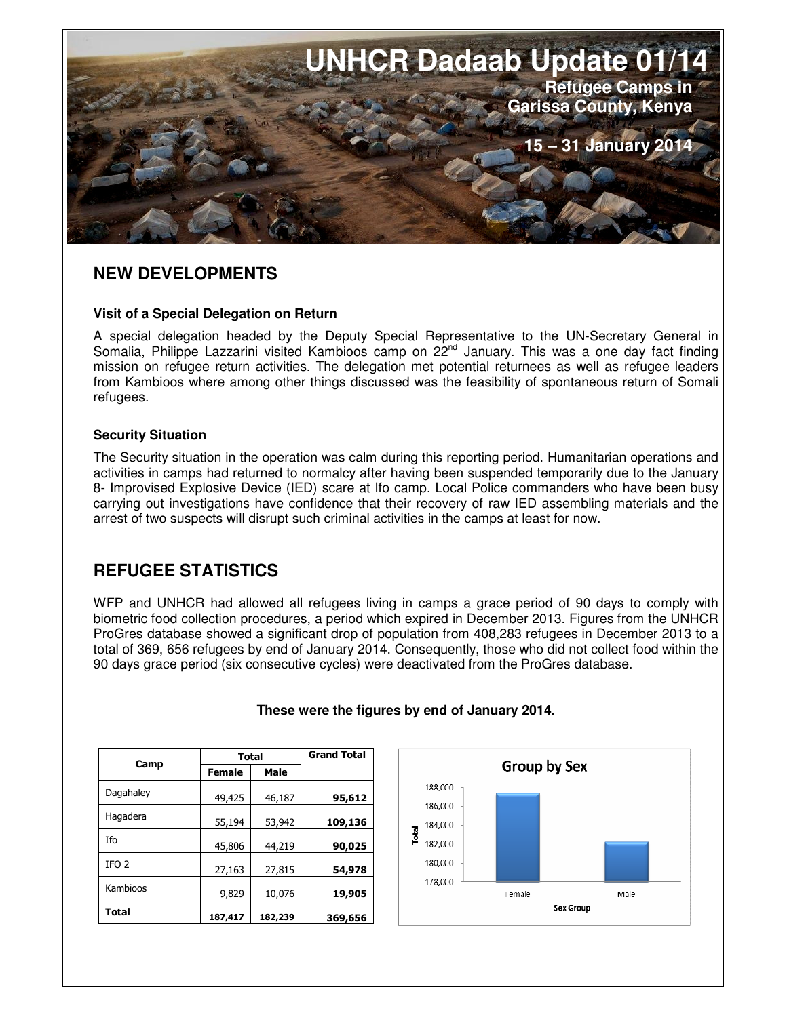

# **NEW DEVELOPMENTS**

#### **Visit of a Special Delegation on Return**

A special delegation headed by the Deputy Special Representative to the UN-Secretary General in Somalia, Philippe Lazzarini visited Kambioos camp on 22<sup>nd</sup> January. This was a one day fact finding mission on refugee return activities. The delegation met potential returnees as well as refugee leaders from Kambioos where among other things discussed was the feasibility of spontaneous return of Somali refugees.

#### **Security Situation**

The Security situation in the operation was calm during this reporting period. Humanitarian operations and activities in camps had returned to normalcy after having been suspended temporarily due to the January 8- Improvised Explosive Device (IED) scare at Ifo camp. Local Police commanders who have been busy carrying out investigations have confidence that their recovery of raw IED assembling materials and the arrest of two suspects will disrupt such criminal activities in the camps at least for now.

# **REFUGEE STATISTICS**

WFP and UNHCR had allowed all refugees living in camps a grace period of 90 days to comply with biometric food collection procedures, a period which expired in December 2013. Figures from the UNHCR ProGres database showed a significant drop of population from 408,283 refugees in December 2013 to a total of 369, 656 refugees by end of January 2014. Consequently, those who did not collect food within the 90 days grace period (six consecutive cycles) were deactivated from the ProGres database.

| Camp             | <b>Total</b>  |         | <b>Grand Total</b> |
|------------------|---------------|---------|--------------------|
|                  | <b>Female</b> | Male    |                    |
| Dagahaley        | 49,425        | 46,187  | 95,612             |
| Hagadera         | 55,194        | 53,942  | 109,136            |
| Ifo              | 45,806        | 44,219  | 90,025             |
| IFO <sub>2</sub> | 27,163        | 27,815  | 54,978             |
| Kambioos         | 9,829         | 10,076  | 19,905             |
| Total            | 187,417       | 182,239 | 369,656            |

# **These were the figures by end of January 2014.**

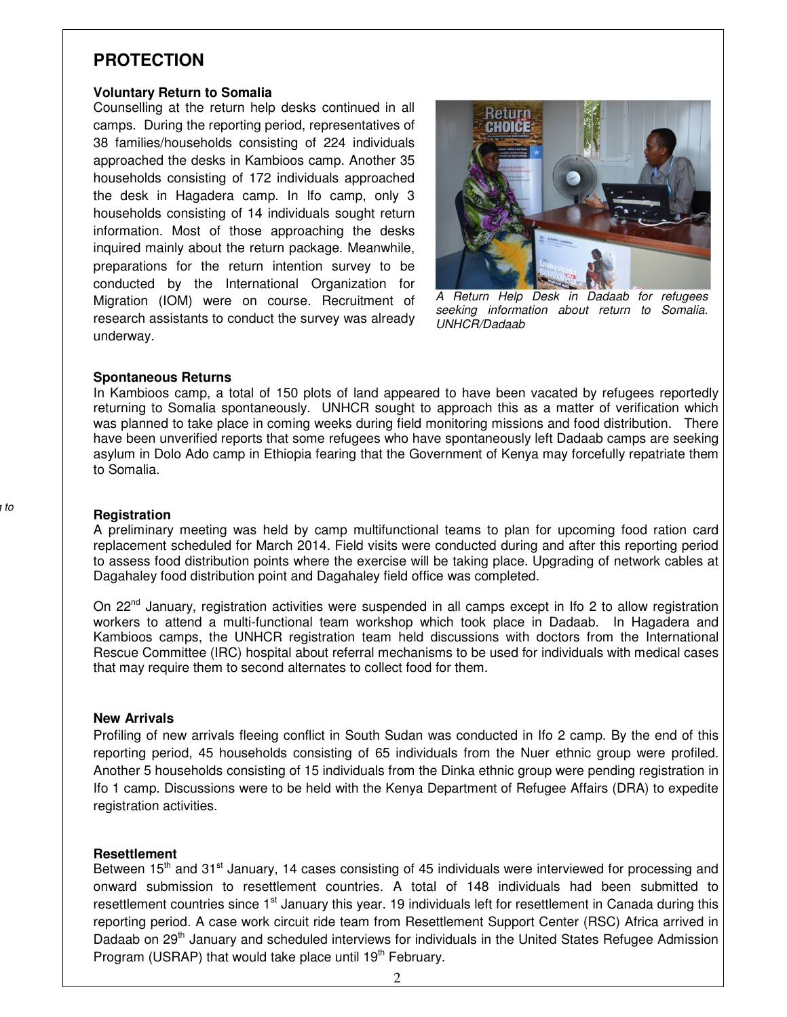### **PROTECTION**

#### **Voluntary Return to Somalia**

Counselling at the return help desks continued in all camps. During the reporting period, representatives of 38 families/households consisting of 224 individuals approached the desks in Kambioos camp. Another 35 households consisting of 172 individuals approached the desk in Hagadera camp. In Ifo camp, only 3 households consisting of 14 individuals sought return information. Most of those approaching the desks inquired mainly about the return package. Meanwhile, preparations for the return intention survey to be conducted by the International Organization for Migration (IOM) were on course. Recruitment of research assistants to conduct the survey was already underway.



A Return Help Desk in Dadaab for refugees seeking information about return to Somalia. UNHCR/Dadaab

#### **Spontaneous Returns**

In Kambioos camp, a total of 150 plots of land appeared to have been vacated by refugees reportedly returning to Somalia spontaneously. UNHCR sought to approach this as a matter of verification which was planned to take place in coming weeks during field monitoring missions and food distribution. There have been unverified reports that some refugees who have spontaneously left Dadaab camps are seeking asylum in Dolo Ado camp in Ethiopia fearing that the Government of Kenya may forcefully repatriate them to Somalia.

#### **Registration**

A preliminary meeting was held by camp multifunctional teams to plan for upcoming food ration card replacement scheduled for March 2014. Field visits were conducted during and after this reporting period to assess food distribution points where the exercise will be taking place. Upgrading of network cables at Dagahaley food distribution point and Dagahaley field office was completed.

On 22<sup>nd</sup> January, registration activities were suspended in all camps except in Ifo 2 to allow registration workers to attend a multi-functional team workshop which took place in Dadaab. In Hagadera and Kambioos camps, the UNHCR registration team held discussions with doctors from the International Rescue Committee (IRC) hospital about referral mechanisms to be used for individuals with medical cases that may require them to second alternates to collect food for them.

#### **New Arrivals**

Profiling of new arrivals fleeing conflict in South Sudan was conducted in Ifo 2 camp. By the end of this reporting period, 45 households consisting of 65 individuals from the Nuer ethnic group were profiled. Another 5 households consisting of 15 individuals from the Dinka ethnic group were pending registration in Ifo 1 camp. Discussions were to be held with the Kenya Department of Refugee Affairs (DRA) to expedite registration activities.

#### **Resettlement**

Between 15<sup>th</sup> and 31<sup>st</sup> January, 14 cases consisting of 45 individuals were interviewed for processing and onward submission to resettlement countries. A total of 148 individuals had been submitted to resettlement countries since 1<sup>st</sup> January this year. 19 individuals left for resettlement in Canada during this reporting period. A case work circuit ride team from Resettlement Support Center (RSC) Africa arrived in Dadaab on 29<sup>th</sup> January and scheduled interviews for individuals in the United States Refugee Admission Program (USRAP) that would take place until 19<sup>th</sup> February.